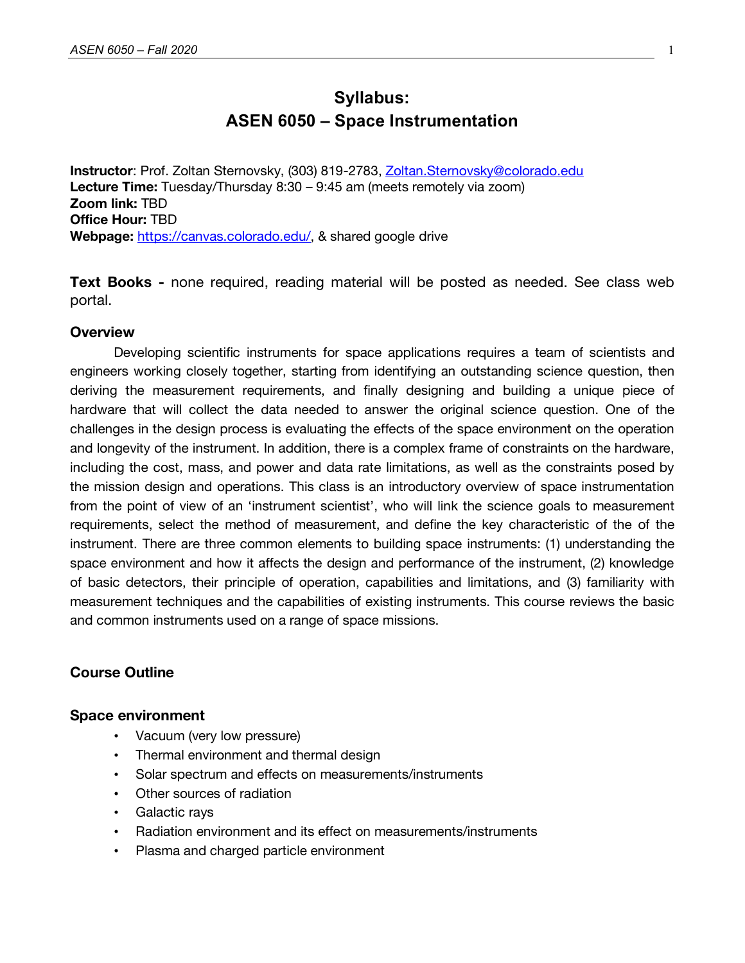# **Syllabus: ASEN 6050 – Space Instrumentation**

**Instructor**: Prof. Zoltan Sternovsky, (303) 819-2783, Zoltan.Sternovsky@colorado.edu **Lecture Time:** Tuesday/Thursday 8:30 – 9:45 am (meets remotely via zoom) **Zoom link:** TBD **Office Hour:** TBD **Webpage:** https://canvas.colorado.edu/, & shared google drive

**Text Books -** none required, reading material will be posted as needed. See class web portal.

# **Overview**

Developing scientific instruments for space applications requires a team of scientists and engineers working closely together, starting from identifying an outstanding science question, then deriving the measurement requirements, and finally designing and building a unique piece of hardware that will collect the data needed to answer the original science question. One of the challenges in the design process is evaluating the effects of the space environment on the operation and longevity of the instrument. In addition, there is a complex frame of constraints on the hardware, including the cost, mass, and power and data rate limitations, as well as the constraints posed by the mission design and operations. This class is an introductory overview of space instrumentation from the point of view of an 'instrument scientist', who will link the science goals to measurement requirements, select the method of measurement, and define the key characteristic of the of the instrument. There are three common elements to building space instruments: (1) understanding the space environment and how it affects the design and performance of the instrument, (2) knowledge of basic detectors, their principle of operation, capabilities and limitations, and (3) familiarity with measurement techniques and the capabilities of existing instruments. This course reviews the basic and common instruments used on a range of space missions.

# **Course Outline**

### **Space environment**

- Vacuum (very low pressure)
- Thermal environment and thermal design
- Solar spectrum and effects on measurements/instruments
- Other sources of radiation
- Galactic rays
- Radiation environment and its effect on measurements/instruments
- Plasma and charged particle environment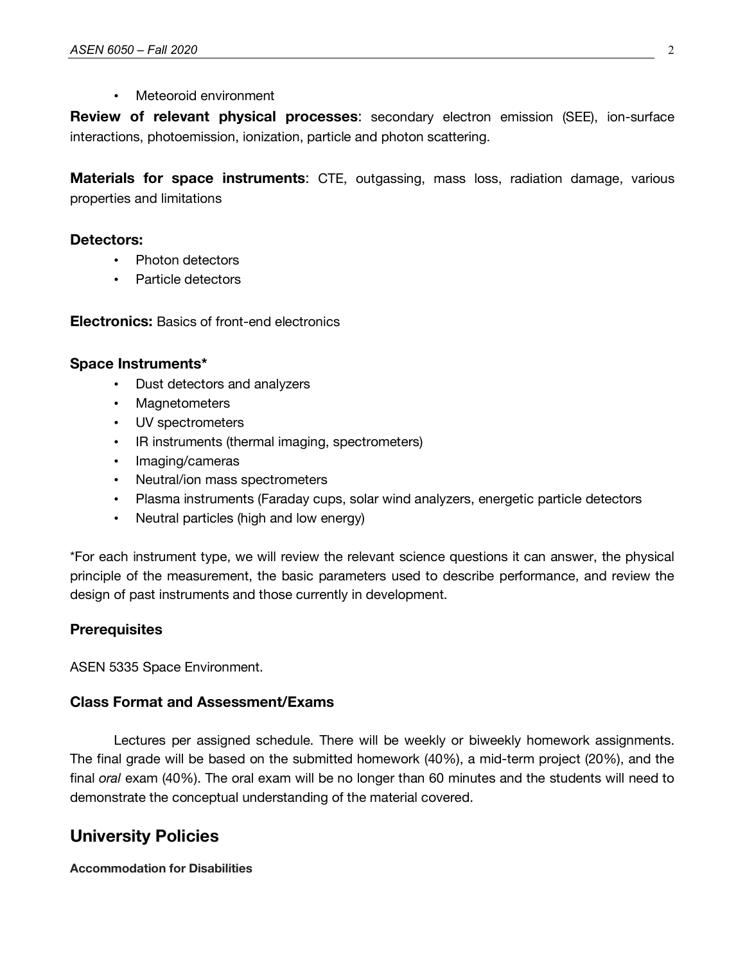### • Meteoroid environment

**Review of relevant physical processes**: secondary electron emission (SEE), ion-surface interactions, photoemission, ionization, particle and photon scattering.

**Materials for space instruments**: CTE, outgassing, mass loss, radiation damage, various properties and limitations

# **Detectors:**

- Photon detectors
- Particle detectors

**Electronics:** Basics of front-end electronics

# **Space Instruments\***

- Dust detectors and analyzers
- Magnetometers
- UV spectrometers
- IR instruments (thermal imaging, spectrometers)
- Imaging/cameras
- Neutral/ion mass spectrometers
- Plasma instruments (Faraday cups, solar wind analyzers, energetic particle detectors
- Neutral particles (high and low energy)

\*For each instrument type, we will review the relevant science questions it can answer, the physical principle of the measurement, the basic parameters used to describe performance, and review the design of past instruments and those currently in development.

# **Prerequisites**

ASEN 5335 Space Environment.

# **Class Format and Assessment/Exams**

Lectures per assigned schedule. There will be weekly or biweekly homework assignments. The final grade will be based on the submitted homework (40%), a mid-term project (20%), and the final *oral* exam (40%). The oral exam will be no longer than 60 minutes and the students will need to demonstrate the conceptual understanding of the material covered.

# **University Policies**

### **Accommodation for Disabilities**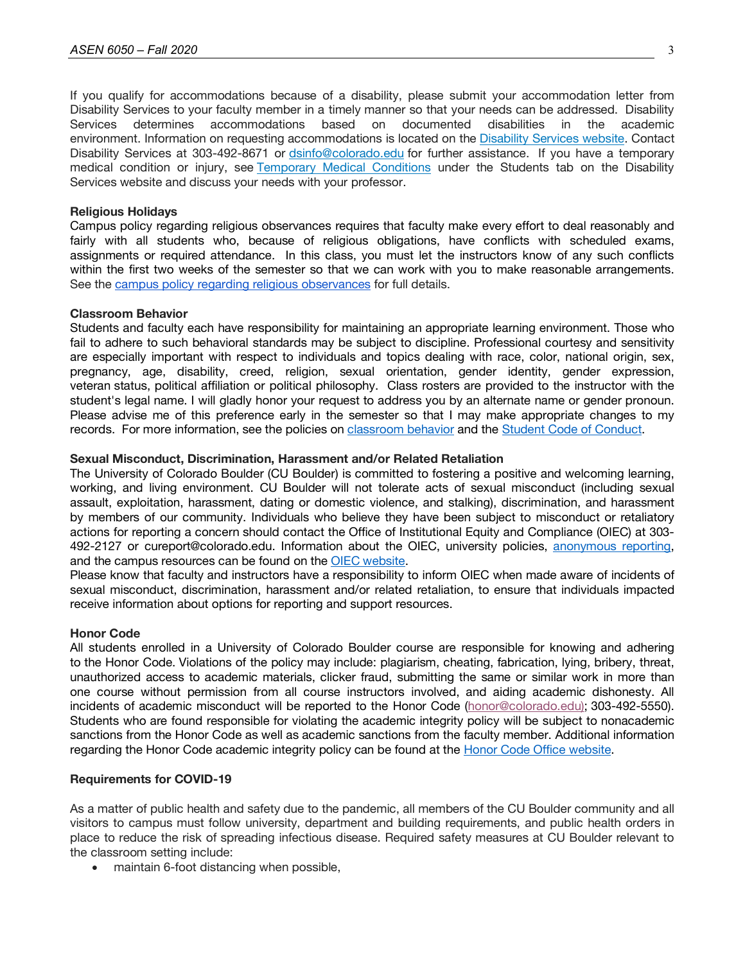If you qualify for accommodations because of a disability, please submit your accommodation letter from Disability Services to your faculty member in a timely manner so that your needs can be addressed. Disability Services determines accommodations based on documented disabilities in the academic environment. Information on requesting accommodations is located on the Disability Services website. Contact Disability Services at 303-492-8671 or dsinfo@colorado.edu for further assistance. If you have a temporary medical condition or injury, see Temporary Medical Conditions under the Students tab on the Disability Services website and discuss your needs with your professor.

#### **Religious Holidays**

Campus policy regarding religious observances requires that faculty make every effort to deal reasonably and fairly with all students who, because of religious obligations, have conflicts with scheduled exams, assignments or required attendance. In this class, you must let the instructors know of any such conflicts within the first two weeks of the semester so that we can work with you to make reasonable arrangements. See the campus policy regarding religious observances for full details.

#### **Classroom Behavior**

Students and faculty each have responsibility for maintaining an appropriate learning environment. Those who fail to adhere to such behavioral standards may be subject to discipline. Professional courtesy and sensitivity are especially important with respect to individuals and topics dealing with race, color, national origin, sex, pregnancy, age, disability, creed, religion, sexual orientation, gender identity, gender expression, veteran status, political affiliation or political philosophy. Class rosters are provided to the instructor with the student's legal name. I will gladly honor your request to address you by an alternate name or gender pronoun. Please advise me of this preference early in the semester so that I may make appropriate changes to my records. For more information, see the policies on classroom behavior and the Student Code of Conduct.

#### **Sexual Misconduct, Discrimination, Harassment and/or Related Retaliation**

The University of Colorado Boulder (CU Boulder) is committed to fostering a positive and welcoming learning, working, and living environment. CU Boulder will not tolerate acts of sexual misconduct (including sexual assault, exploitation, harassment, dating or domestic violence, and stalking), discrimination, and harassment by members of our community. Individuals who believe they have been subject to misconduct or retaliatory actions for reporting a concern should contact the Office of Institutional Equity and Compliance (OIEC) at 303- 492-2127 or cureport@colorado.edu. Information about the OIEC, university policies, anonymous reporting, and the campus resources can be found on the **OIEC** website.

Please know that faculty and instructors have a responsibility to inform OIEC when made aware of incidents of sexual misconduct, discrimination, harassment and/or related retaliation, to ensure that individuals impacted receive information about options for reporting and support resources.

### **Honor Code**

All students enrolled in a University of Colorado Boulder course are responsible for knowing and adhering to the Honor Code. Violations of the policy may include: plagiarism, cheating, fabrication, lying, bribery, threat, unauthorized access to academic materials, clicker fraud, submitting the same or similar work in more than one course without permission from all course instructors involved, and aiding academic dishonesty. All incidents of academic misconduct will be reported to the Honor Code (honor@colorado.edu); 303-492-5550). Students who are found responsible for violating the academic integrity policy will be subject to nonacademic sanctions from the Honor Code as well as academic sanctions from the faculty member. Additional information regarding the Honor Code academic integrity policy can be found at the Honor Code Office website.

#### **Requirements for COVID-19**

As a matter of public health and safety due to the pandemic, all members of the CU Boulder community and all visitors to campus must follow university, department and building requirements, and public health orders in place to reduce the risk of spreading infectious disease. Required safety measures at CU Boulder relevant to the classroom setting include:

• maintain 6-foot distancing when possible,